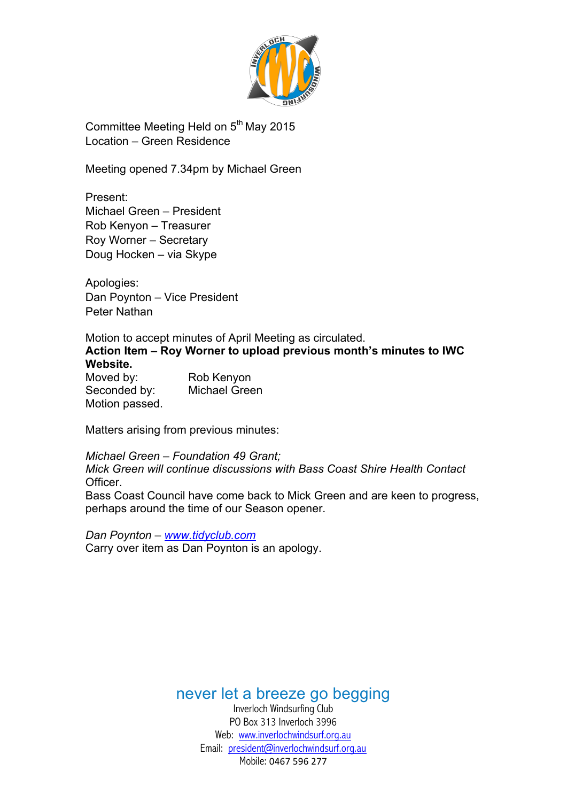

Committee Meeting Held on  $5<sup>th</sup>$  May 2015 Location – Green Residence

Meeting opened 7.34pm by Michael Green

Present: Michael Green – President Rob Kenyon – Treasurer Roy Worner – Secretary Doug Hocken – via Skype

Apologies: Dan Poynton – Vice President Peter Nathan

Motion to accept minutes of April Meeting as circulated. **Action Item – Roy Worner to upload previous month's minutes to IWC Website.** Moved by: Rob Kenyon

Seconded by: Michael Green Motion passed.

Matters arising from previous minutes:

*Michael Green – Foundation 49 Grant; Mick Green will continue discussions with Bass Coast Shire Health Contact* Officer. Bass Coast Council have come back to Mick Green and are keen to progress, perhaps around the time of our Season opener.

*Dan Poynton – www.tidyclub.com* Carry over item as Dan Poynton is an apology.

never let a breeze go begging

Inverloch Windsurfing Club PO Box 313 Inverloch 3996 Web: www.inverlochwindsurf.org.au Email: president@inverlochwindsurf.org.au Mobile: 0467 596 277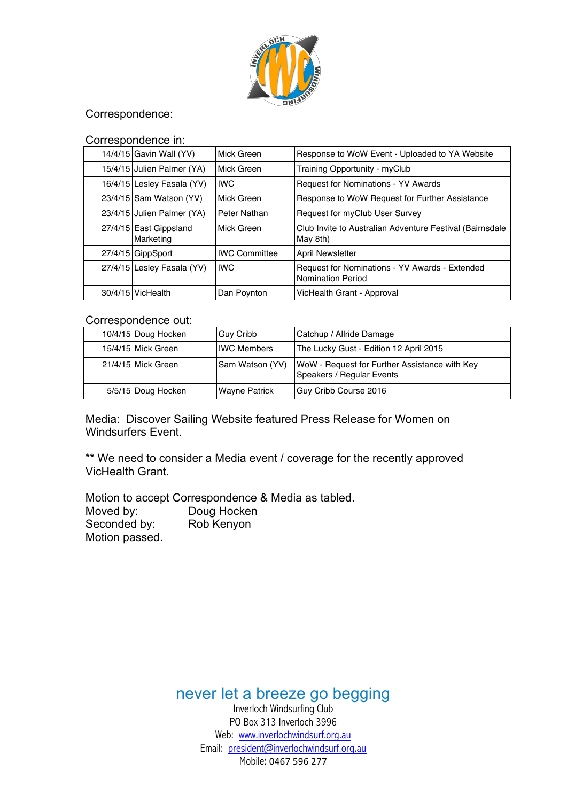

### Correspondence:

#### Correspondence in:

| 14/4/15 Gavin Wall (YV)             | Mick Green           | Response to WoW Event - Uploaded to YA Website                       |  |  |
|-------------------------------------|----------------------|----------------------------------------------------------------------|--|--|
| 15/4/15 Julien Palmer (YA)          | Mick Green           | Training Opportunity - myClub                                        |  |  |
| 16/4/15 Lesley Fasala (YV)          | <b>IWC</b>           | Request for Nominations - YV Awards                                  |  |  |
| 23/4/15 Sam Watson (YV)             | Mick Green           | Response to WoW Request for Further Assistance                       |  |  |
| 23/4/15 Julien Palmer (YA)          | Peter Nathan         | Request for myClub User Survey                                       |  |  |
| 27/4/15 East Gippsland<br>Marketing | Mick Green           | Club Invite to Australian Adventure Festival (Bairnsdale<br>May 8th) |  |  |
| 27/4/15 GippSport                   | <b>IWC Committee</b> | <b>April Newsletter</b>                                              |  |  |
| 27/4/15 Lesley Fasala (YV)          | <b>IWC</b>           | Request for Nominations - YV Awards - Extended<br>Nomination Period  |  |  |
| 30/4/15 VicHealth                   | Dan Poynton          | VicHealth Grant - Approval                                           |  |  |

#### Correspondence out:

| 10/4/15 Doug Hocken | <b>Guy Cribb</b>   | Catchup / Allride Damage                                                   |
|---------------------|--------------------|----------------------------------------------------------------------------|
| 15/4/15 Mick Green  | <b>IWC Members</b> | The Lucky Gust - Edition 12 April 2015                                     |
| 21/4/15 Mick Green  | Sam Watson (YV)    | WoW - Request for Further Assistance with Key<br>Speakers / Regular Events |
| 5/5/15 Doug Hocken  | Wayne Patrick      | Guy Cribb Course 2016                                                      |

Media: Discover Sailing Website featured Press Release for Women on Windsurfers Event.

\*\* We need to consider a Media event / coverage for the recently approved VicHealth Grant.

Motion to accept Correspondence & Media as tabled. Moved by: Doug Hocken Seconded by: Rob Kenyon Motion passed.

never let a breeze go begging

Inverloch Windsurfing Club PO Box 313 Inverloch 3996 Web: www.inverlochwindsurf.org.au Email: president@inverlochwindsurf.org.au Mobile: 0467 596 277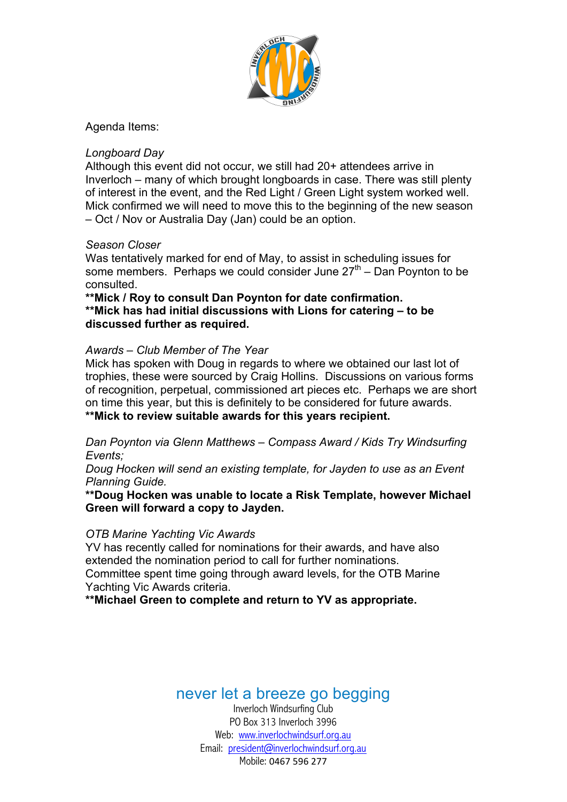

Agenda Items:

### *Longboard Day*

Although this event did not occur, we still had 20+ attendees arrive in Inverloch – many of which brought longboards in case. There was still plenty of interest in the event, and the Red Light / Green Light system worked well. Mick confirmed we will need to move this to the beginning of the new season – Oct / Nov or Australia Day (Jan) could be an option.

#### *Season Closer*

Was tentatively marked for end of May, to assist in scheduling issues for some members. Perhaps we could consider June  $27<sup>th</sup>$  – Dan Poynton to be consulted.

**\*\*Mick / Roy to consult Dan Poynton for date confirmation. \*\*Mick has had initial discussions with Lions for catering – to be discussed further as required.**

#### *Awards – Club Member of The Year*

Mick has spoken with Doug in regards to where we obtained our last lot of trophies, these were sourced by Craig Hollins. Discussions on various forms of recognition, perpetual, commissioned art pieces etc. Perhaps we are short on time this year, but this is definitely to be considered for future awards. **\*\*Mick to review suitable awards for this years recipient.**

*Dan Poynton via Glenn Matthews – Compass Award / Kids Try Windsurfing Events;* 

*Doug Hocken will send an existing template, for Jayden to use as an Event Planning Guide.*

**\*\*Doug Hocken was unable to locate a Risk Template, however Michael Green will forward a copy to Jayden.**

#### *OTB Marine Yachting Vic Awards*

YV has recently called for nominations for their awards, and have also extended the nomination period to call for further nominations.

Committee spent time going through award levels, for the OTB Marine Yachting Vic Awards criteria.

**\*\*Michael Green to complete and return to YV as appropriate.**

# never let a breeze go begging

Inverloch Windsurfing Club PO Box 313 Inverloch 3996 Web: www.inverlochwindsurf.org.au Email: president@inverlochwindsurf.org.au Mobile: 0467 596 277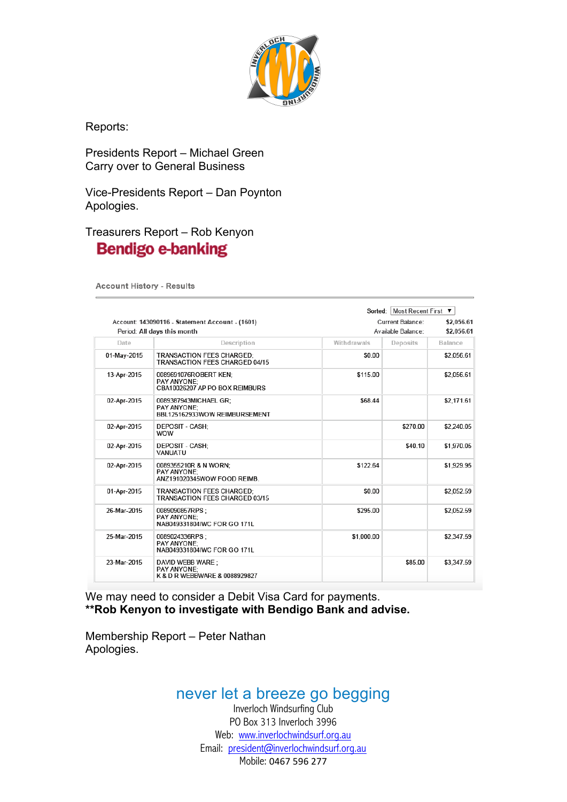

Reports:

Presidents Report – Michael Green Carry over to General Business

Vice-Presidents Report – Dan Poynton Apologies.

### Treasurers Report – Rob Kenyon **Bendigo e-banking**

**Account History - Results** 

|             |                                                                                | Sorted:     | Most Recent First ▼                    |            |  |
|-------------|--------------------------------------------------------------------------------|-------------|----------------------------------------|------------|--|
|             | Account: 143090116 - Statement Account - (1601)<br>Period: All days this month |             | Current Balance:<br>Available Balance: |            |  |
| Date        | Description                                                                    | Withdrawals | Deposits                               | Balance    |  |
| 01-May-2015 | <b>TRANSACTION FEES CHARGED:</b><br><b>TRANSACTION FEES CHARGED 04/15</b>      | \$0.00      |                                        | \$2,056.61 |  |
| 13-Apr-2015 | 0089691076ROBERT KEN;<br>PAY ANYONE:<br>CBA10026207 AP PO BOX REIMBURS         | \$115.00    |                                        | \$2.056.61 |  |
| 02-Apr-2015 | 0089387943MICHAEL GR:<br>PAY ANYONE:<br>BBL125162933WOW REIMBURSEMENT          | \$68.44     |                                        | \$2,171.61 |  |
| 02-Apr-2015 | <b>DEPOSIT - CASH:</b><br><b>WOW</b>                                           |             | \$270.00                               | \$2,240.05 |  |
| 02-Apr-2015 | DEPOSIT - CASH:<br>VANUATU                                                     |             | \$40.10                                | \$1,970.05 |  |
| 02-Apr-2015 | 0089355210R & N WORN:<br>PAY ANYONE:<br>ANZ191020345WOW FOOD REIMB.            | \$122.64    |                                        | \$1,929.95 |  |
| 01-Apr-2015 | TRANSACTION FEES CHARGED:<br>TRANSACTION FFFS CHARGED 03/15                    | \$0.00      |                                        | \$2,052.59 |  |
| 26-Mar-2015 | 0089090857RPS:<br>PAY ANYONE:<br>NAB049331804IWC FOR GO 171L                   | \$295.00    |                                        | \$2,052.59 |  |
| 25-Mar-2015 | 0089024336RPS:<br>PAY ANYONE:<br>NAB049331804IWC FOR GO 171L                   | \$1,000.00  |                                        | \$2,347.59 |  |
| 23-Mar-2015 | DAVID WEBB WARE:<br>PAY ANYONE:<br>K & D R WEBBWARE & 0088929827               |             | \$85.00                                | \$3,347.59 |  |

We may need to consider a Debit Visa Card for payments. **\*\*Rob Kenyon to investigate with Bendigo Bank and advise.**

Membership Report – Peter Nathan Apologies.

## never let a breeze go begging

Inverloch Windsurfing Club PO Box 313 Inverloch 3996 Web: www.inverlochwindsurf.org.au Email: president@inverlochwindsurf.org.au Mobile: 0467 596 277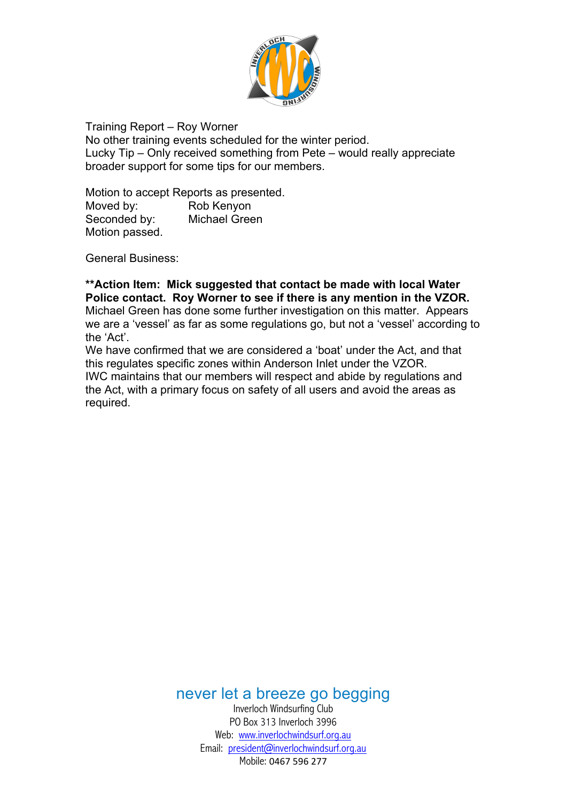

Training Report – Roy Worner No other training events scheduled for the winter period. Lucky Tip – Only received something from Pete – would really appreciate broader support for some tips for our members.

Motion to accept Reports as presented. Moved by: Rob Kenyon Seconded by: Michael Green Motion passed.

General Business:

**\*\*Action Item: Mick suggested that contact be made with local Water Police contact. Roy Worner to see if there is any mention in the VZOR.** Michael Green has done some further investigation on this matter. Appears we are a 'vessel' as far as some regulations go, but not a 'vessel' according to the 'Act'.

We have confirmed that we are considered a 'boat' under the Act, and that this regulates specific zones within Anderson Inlet under the VZOR. IWC maintains that our members will respect and abide by regulations and the Act, with a primary focus on safety of all users and avoid the areas as required.

never let a breeze go begging

Inverloch Windsurfing Club PO Box 313 Inverloch 3996 Web: www.inverlochwindsurf.org.au Email: president@inverlochwindsurf.org.au Mobile: 0467 596 277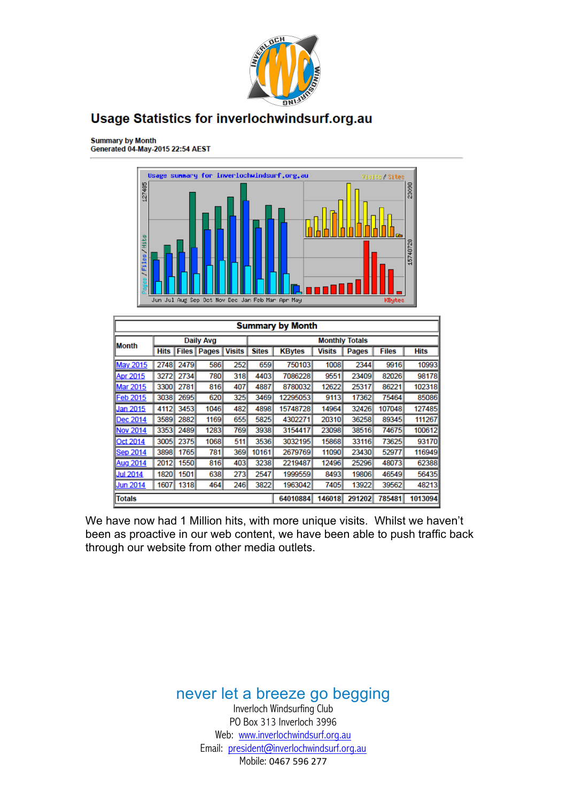

### **Usage Statistics for inverlochwindsurf.org.au**

Summary by Month<br>Generated 04-May-2015 22:54 AEST



| <b>Summary by Month</b> |             |      |                      |                       |              |               |               |        |              |             |
|-------------------------|-------------|------|----------------------|-----------------------|--------------|---------------|---------------|--------|--------------|-------------|
| lMonth                  | Daily Avg   |      |                      | <b>Monthly Totals</b> |              |               |               |        |              |             |
|                         | <b>Hits</b> |      | <b>Files   Pages</b> | <b>Visits</b>         | <b>Sites</b> | <b>KBytes</b> | <b>Visits</b> | Pages  | <b>Files</b> | <b>Hits</b> |
| May 2015                | 2748        | 2479 | 586                  | 252                   | 659          | 750103        | 1008          | 2344   | 9916         | 10993       |
| <b>Apr 2015</b>         | 32721       | 2734 | 780                  | 318                   | 4403         | 7086228       | 9551          | 23409  | 82026        | 98178       |
| Mar 2015                | 3300        | 2781 | 816                  | 407                   | 4887         | 8780032       | 12622         | 25317  | 86221        | 102318      |
| Feb 2015                | 3038        | 2695 | 620                  | 325                   | 3469         | 12295053      | 9113          | 17362  | 75464        | 85086       |
| Jan 2015                | 4112        | 3453 | 1046                 | 482                   | 4898         | 15748728      | 14964         | 32426  | 107048       | 127485      |
| Dec 2014                | 3589        | 2882 | 1169                 | 655                   | 5825         | 4302271       | 20310         | 36258  | 89345        | 111267      |
| <b>Nov 2014</b>         | 3353        | 2489 | 1283                 | 769                   | 3938         | 3154417       | 23098         | 38516  | 74675        | 100612      |
| <b>Oct 2014</b>         | 3005        | 2375 | 1068                 | 511                   | 3536         | 3032195       | 15868         | 33116  | 73625        | 93170       |
| <b>Sep 2014</b>         | 3898        | 1765 | 781                  | 369                   | 10161        | 2679769       | 11090         | 23430  | 52977        | 116949      |
| <b>Aug 2014</b>         | 2012        | 1550 | 816                  | 403                   | 3238         | 2219487       | 12496         | 25296  | 48073        | 62388       |
| <b>Jul 2014</b>         | 1820        | 1501 | 638                  | 2731                  | 2547         | 1999559       | 8493          | 19806  | 46549        | 56435       |
| <b>Jun 2014</b>         | 1607        | 1318 | 464                  | 246                   | 3822         | 1963042       | 7405          | 13922  | 39562        | 48213       |
| <b>Totals</b>           |             |      |                      |                       |              | 64010884      | 146018        | 291202 | 785481       | 1013094     |

We have now had 1 Million hits, with more unique visits. Whilst we haven't been as proactive in our web content, we have been able to push traffic back through our website from other media outlets.

> never let a breeze go begging Inverloch Windsurfing Club PO Box 313 Inverloch 3996 Web: www.inverlochwindsurf.org.au Email: president@inverlochwindsurf.org.au Mobile: 0467 596 277